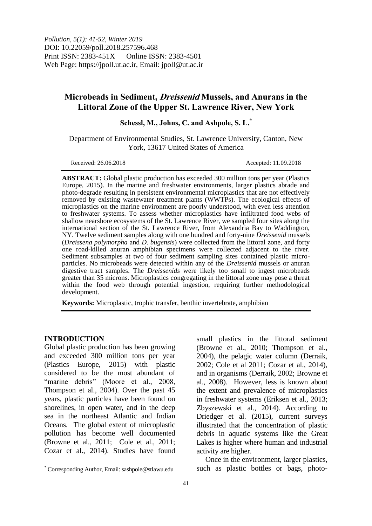*Pollution, 5(1): 41-52, Winter 2019* DOI: 10.22059/poll.2018.257596.468 Print ISSN: 2383-451X Online ISSN: 2383-4501 Web Page: https://jpoll.ut.ac.ir, Email: jpoll@ut.ac.ir

# **Microbeads in Sediment, Dreissenid Mussels, and Anurans in the Littoral Zone of the Upper St. Lawrence River, New York**

**Schessl, M., Johns, C. and Ashpole, S. L. \***

Department of Environmental Studies, St. Lawrence University, Canton, New York, 13617 United States of America

Received: 26.06.2018 Accepted: 11.09.2018

**ABSTRACT:** Global plastic production has exceeded 300 million tons per year (Plastics Europe, 2015). In the marine and freshwater environments, larger plastics abrade and photo-degrade resulting in persistent environmental microplastics that are not effectively removed by existing wastewater treatment plants (WWTPs). The ecological effects of microplastics on the marine environment are poorly understood, with even less attention to freshwater systems. To assess whether microplastics have infiltrated food webs of shallow nearshore ecosystems of the St. Lawrence River, we sampled four sites along the international section of the St. Lawrence River, from Alexandria Bay to Waddington, NY. Twelve sediment samples along with one hundred and forty-nine *Dreissenid* mussels (*Dreissena polymorpha* and *D*. *bugensis*) were collected from the littoral zone, and forty one road-killed anuran amphibian specimens were collected adjacent to the river. Sediment subsamples at two of four sediment sampling sites contained plastic microparticles. No microbeads were detected within any of the *Dreissenid* mussels or anuran digestive tract samples. The *Dreissenids* were likely too small to ingest microbeads greater than 35 microns. Microplastics congregating in the littoral zone may pose a threat within the food web through potential ingestion, requiring further methodological development.

**Keywords:** Microplastic, trophic transfer, benthic invertebrate, amphibian

## **INTRODUCTION**

 $\overline{a}$ 

Global plastic production has been growing and exceeded 300 million tons per year (Plastics Europe, 2015) with plastic considered to be the most abundant of "marine debris" (Moore et al., 2008, Thompson et al., 2004). Over the past 45 years, plastic particles have been found on shorelines, in open water, and in the deep sea in the northeast Atlantic and Indian Oceans. The global extent of microplastic pollution has become well documented (Browne et al., 2011; Cole et al., 2011; Cozar et al., 2014). Studies have found

small plastics in the littoral sediment (Browne et al., 2010; Thompson et al., 2004), the pelagic water column (Derraik, 2002; Cole et al 2011; Cozar et al., 2014), and in organisms (Derraik, 2002; Browne et al., 2008). However, less is known about the extent and prevalence of microplastics in freshwater systems (Eriksen et al., 2013; Zbyszewski et al., 2014). According to Driedger et al. (2015), current surveys illustrated that the concentration of plastic debris in aquatic systems like the Great Lakes is higher where human and industrial activity are higher.

Once in the environment, larger plastics, such as plastic bottles or bags, photo-

<sup>\*</sup> Corresponding Author, Email: sashpole@stlawu.edu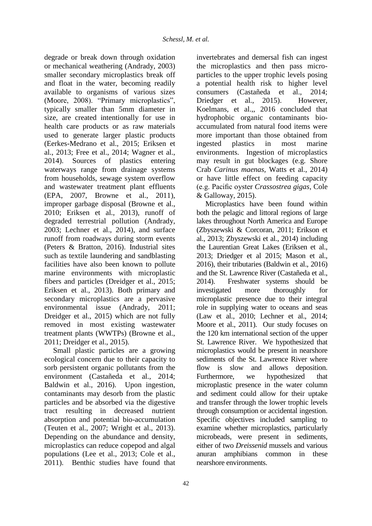degrade or break down through oxidation or mechanical weathering (Andrady, 2003) smaller secondary microplastics break off and float in the water, becoming readily available to organisms of various sizes (Moore, 2008). "Primary microplastics", typically smaller than 5mm diameter in size, are created intentionally for use in health care products or as raw materials used to generate larger plastic products (Eerkes-Medrano et al., 2015; Eriksen et al., 2013; Free et al., 2014; Wagner et al., 2014). Sources of plastics entering waterways range from drainage systems from households, sewage system overflow and wastewater treatment plant effluents (EPA, 2007, Browne et al., 2011), improper garbage disposal (Browne et al., 2010; Eriksen et al., 2013), runoff of degraded terrestrial pollution (Andrady, 2003; Lechner et al., 2014), and surface runoff from roadways during storm events (Peters & Bratton, 2016). Industrial sites such as textile laundering and sandblasting facilities have also been known to pollute marine environments with microplastic fibers and particles (Dreidger et al., 2015; Eriksen et al., 2013). Both primary and secondary microplastics are a pervasive environmental issue (Andrady, 2011; Dreidger et al., 2015) which are not fully removed in most existing wastewater treatment plants (WWTPs) (Browne et al., 2011; Dreidger et al., 2015).

Small plastic particles are a growing ecological concern due to their capacity to sorb persistent organic pollutants from the environment (Castañeda et al., 2014; Baldwin et al., 2016). Upon ingestion, contaminants may desorb from the plastic particles and be absorbed via the digestive tract resulting in decreased nutrient absorption and potential bio-accumulation (Teuten et al., 2007; Wright et al., 2013). Depending on the abundance and density, microplastics can reduce copepod and algal populations (Lee et al., 2013; Cole et al., 2011). Benthic studies have found that

invertebrates and demersal fish can ingest the microplastics and then pass microparticles to the upper trophic levels posing a potential health risk to higher level consumers (Castañeda et al., 2014; Driedger et al., 2015). However, Koelmans, et al.,, 2016 concluded that hydrophobic organic contaminants bioaccumulated from natural food items were more important than those obtained from ingested plastics in most marine environments. Ingestion of microplastics may result in gut blockages (e.g. Shore Crab *Carinus maenas,* Watts et al., 2014) or have little effect on feeding capacity (e.g. Pacific oyster *Crassostrea gigas*, Cole & Galloway, 2015).

Microplastics have been found within both the pelagic and littoral regions of large lakes throughout North America and Europe (Zbyszewski & Corcoran, 2011; Erikson et al., 2013; Zbyszewski et al., 2014) including the Laurentian Great Lakes (Eriksen et al., 2013; Driedger et al 2015; Mason et al., 2016), their tributaries (Baldwin et al., 2016) and the St. Lawrence River (Castañeda et al., 2014). Freshwater systems should be investigated more thoroughly for microplastic presence due to their integral role in supplying water to oceans and seas (Law et al., 2010; Lechner et al., 2014; Moore et al., 2011). Our study focuses on the 120 km international section of the upper St. Lawrence River. We hypothesized that microplastics would be present in nearshore sediments of the St. Lawrence River where flow is slow and allows deposition. Furthermore, we hypothesized that microplastic presence in the water column and sediment could allow for their uptake and transfer through the lower trophic levels through consumption or accidental ingestion. Specific objectives included sampling to examine whether microplastics, particularly microbeads, were present in sediments, either of two *Dreissenid* mussels and various anuran amphibians common in these nearshore environments.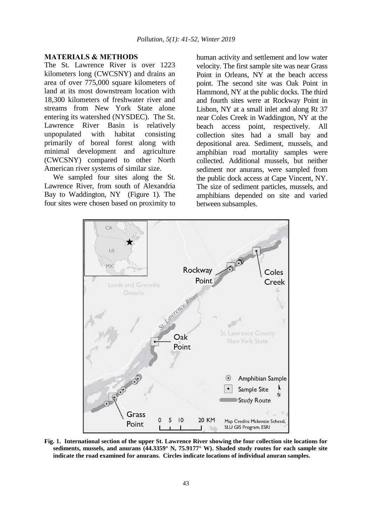#### **MATERIALS & METHODS**

The St. Lawrence River is over 1223 kilometers long (CWCSNY) and drains an area of over 775,000 square kilometers of land at its most downstream location with 18,300 kilometers of freshwater river and streams from New York State alone entering its watershed (NYSDEC). The St. Lawrence River Basin is relatively unpopulated with habitat consisting primarily of boreal forest along with minimal development and agriculture (CWCSNY) compared to other North American river systems of similar size.

We sampled four sites along the St. Lawrence River, from south of Alexandria Bay to Waddington, NY (Figure 1). The four sites were chosen based on proximity to

human activity and settlement and low water velocity. The first sample site was near Grass Point in Orleans, NY at the beach access point. The second site was Oak Point in Hammond, NY at the public docks. The third and fourth sites were at Rockway Point in Lisbon, NY at a small inlet and along Rt 37 near Coles Creek in Waddington, NY at the beach access point, respectively. All collection sites had a small bay and depositional area. Sediment, mussels, and amphibian road mortality samples were collected. Additional mussels, but neither sediment nor anurans, were sampled from the public dock access at Cape Vincent, NY. The size of sediment particles, mussels, and amphibians depended on site and varied between subsamples.



**Fig. 1. International section of the upper St. Lawrence River showing the four collection site locations for sediments, mussels, and anurans (44.3359° N, 75.9177° W). Shaded study routes for each sample site indicate the road examined for anurans. Circles indicate locations of individual anuran samples.**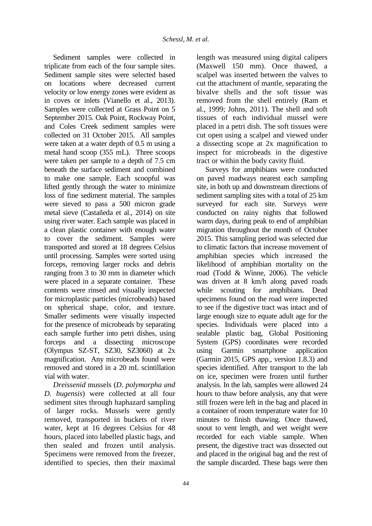Sediment samples were collected in triplicate from each of the four sample sites. Sediment sample sites were selected based on locations where decreased current velocity or low energy zones were evident as in coves or inlets (Vianello et al., 2013). Samples were collected at Grass Point on 5 September 2015. Oak Point, Rockway Point, and Coles Creek sediment samples were collected on 31 October 2015. All samples were taken at a water depth of 0.5 m using a metal hand scoop (355 mL). Three scoops were taken per sample to a depth of 7.5 cm beneath the surface sediment and combined to make one sample. Each scoopful was lifted gently through the water to minimize loss of fine sediment material. The samples were sieved to pass a 500 micron grade metal sieve (Castañeda et al., 2014) on site using river water. Each sample was placed in a clean plastic container with enough water to cover the sediment. Samples were transported and stored at 18 degrees Celsius until processing. Samples were sorted using forceps, removing larger rocks and debris ranging from 3 to 30 mm in diameter which were placed in a separate container. These contents were rinsed and visually inspected for microplastic particles (microbeads) based on spherical shape, color, and texture. Smaller sediments were visually inspected for the presence of microbeads by separating each sample further into petri dishes, using forceps and a dissecting microscope (Olympus SZ-ST, SZ30, SZ3060) at 2x magnification. Any microbeads found were removed and stored in a 20 mL scintillation vial with water.

*Dreissenid* mussels (*D. polymorpha and D. bugensis*) were collected at all four sediment sites through haphazard sampling of larger rocks. Mussels were gently removed, transported in buckets of river water, kept at 16 degrees Celsius for 48 hours, placed into labelled plastic bags, and then sealed and frozen until analysis. Specimens were removed from the freezer, identified to species, then their maximal

length was measured using digital calipers (Maxwell 150 mm). Once thawed, a scalpel was inserted between the valves to cut the attachment of mantle, separating the bivalve shells and the soft tissue was removed from the shell entirely (Ram et al., 1999; Johns, 2011). The shell and soft tissues of each individual mussel were placed in a petri dish. The soft tissues were cut open using a scalpel and viewed under a dissecting scope at 2x magnification to inspect for microbeads in the digestive tract or within the body cavity fluid.

Surveys for amphibians were conducted on paved roadways nearest each sampling site, in both up and downstream directions of sediment sampling sites with a total of 25 km surveyed for each site. Surveys were conducted on rainy nights that followed warm days, during peak to end of amphibian migration throughout the month of October 2015. This sampling period was selected due to climatic factors that increase movement of amphibian species which increased the likelihood of amphibian mortality on the road (Todd & Winne, 2006). The vehicle was driven at 8 km/h along paved roads while scouting for amphibians. Dead specimens found on the road were inspected to see if the digestive tract was intact and of large enough size to equate adult age for the species. Individuals were placed into a sealable plastic bag, Global Positioning System (GPS) coordinates were recorded using Garmin smartphone application (Garmin 2015, GPS app., version 1.8.3) and species identified. After transport to the lab on ice, specimen were frozen until further analysis. In the lab, samples were allowed 24 hours to thaw before analysis, any that were still frozen were left in the bag and placed in a container of room temperature water for 10 minutes to finish thawing. Once thawed, snout to vent length, and wet weight were recorded for each viable sample. When present, the digestive tract was dissected out and placed in the original bag and the rest of the sample discarded. These bags were then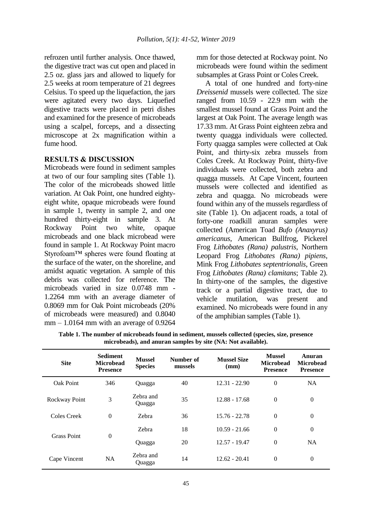refrozen until further analysis. Once thawed, the digestive tract was cut open and placed in 2.5 oz. glass jars and allowed to liquefy for 2.5 weeks at room temperature of 21 degrees Celsius. To speed up the liquefaction, the jars were agitated every two days. Liquefied digestive tracts were placed in petri dishes and examined for the presence of microbeads using a scalpel, forceps, and a dissecting microscope at 2x magnification within a fume hood.

## **RESULTS & DISCUSSION**

Microbeads were found in sediment samples at two of our four sampling sites (Table 1). The color of the microbeads showed little variation. At Oak Point, one hundred eightyeight white, opaque microbeads were found in sample 1, twenty in sample 2, and one hundred thirty-eight in sample 3. At Rockway Point two white, opaque microbeads and one black microbead were found in sample 1. At Rockway Point macro Styrofoam™ spheres were found floating at the surface of the water, on the shoreline, and amidst aquatic vegetation. A sample of this debris was collected for reference. The microbeads varied in size 0.0748 mm - 1.2264 mm with an average diameter of 0.8069 mm for Oak Point microbeads (20% of microbeads were measured) and 0.8040  $mm - 1.0164$  mm with an average of 0.9264

mm for those detected at Rockway point. No microbeads were found within the sediment subsamples at Grass Point or Coles Creek.

A total of one hundred and forty-nine *Dreissenid* mussels were collected. The size ranged from 10.59 - 22.9 mm with the smallest mussel found at Grass Point and the largest at Oak Point. The average length was 17.33 mm. At Grass Point eighteen zebra and twenty quagga individuals were collected. Forty quagga samples were collected at Oak Point, and thirty-six zebra mussels from Coles Creek. At Rockway Point, thirty-five individuals were collected, both zebra and quagga mussels. At Cape Vincent, fourteen mussels were collected and identified as zebra and quagga. No microbeads were found within any of the mussels regardless of site (Table 1). On adjacent roads, a total of forty-one roadkill anuran samples were collected (American Toad *Bufo (Anaxyrus) americanus*, American Bullfrog, Pickerel Frog *Lithobates (Rana) palustris*, Northern Leopard Frog *Lithobates (Rana) pipiens*, Mink Frog *Lithobates septentrionalis*, Green Frog *Lithobates (Rana) clamitans*; Table 2). In thirty-one of the samples, the digestive track or a partial digestive tract, due to vehicle mutilation, was present and examined. No microbeads were found in any of the amphibian samples (Table 1).

| <b>Site</b>        | <b>Sediment</b><br><b>Microbead</b><br><b>Presence</b> | <b>Mussel</b><br><b>Species</b> | Number of<br>mussels | <b>Mussel Size</b><br>(mm) | <b>Mussel</b><br><b>Microbead</b><br><b>Presence</b> | Anuran<br><b>Microbead</b><br><b>Presence</b> |
|--------------------|--------------------------------------------------------|---------------------------------|----------------------|----------------------------|------------------------------------------------------|-----------------------------------------------|
| Oak Point          | 346                                                    | Quagga                          | 40                   | $12.31 - 22.90$            | $\overline{0}$                                       | <b>NA</b>                                     |
| Rockway Point      | 3                                                      | Zehra and<br>Quagga             | 35                   | $12.88 - 17.68$            | $\overline{0}$                                       | $\overline{0}$                                |
| Coles Creek        | $\theta$                                               | Zebra                           | 36                   | $15.76 - 22.78$            | $\mathbf{0}$                                         | $\boldsymbol{0}$                              |
| <b>Grass Point</b> | $\overline{0}$                                         | Zebra                           | 18                   | $10.59 - 21.66$            | $\overline{0}$                                       | $\overline{0}$                                |
|                    |                                                        | Quagga                          | 20                   | $12.57 - 19.47$            | $\overline{0}$                                       | <b>NA</b>                                     |
| Cape Vincent       | <b>NA</b>                                              | Zebra and<br>Quagga             | 14                   | $12.62 - 20.41$            | $\overline{0}$                                       | $\overline{0}$                                |

**Table 1. The number of microbeads found in sediment, mussels collected (species, size, presence microbeads), and anuran samples by site (NA: Not available).**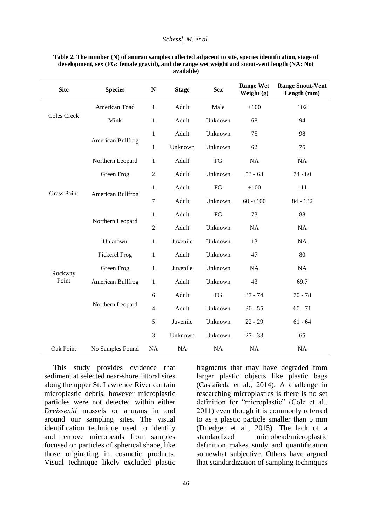#### *Schessl, M. et al.*

| <b>Site</b>        | <b>Species</b>    | $\mathbf N$    | <b>Stage</b> | <b>Sex</b> | <b>Range Wet</b><br>Weight $(g)$ | <b>Range Snout-Vent</b><br>Length (mm) |
|--------------------|-------------------|----------------|--------------|------------|----------------------------------|----------------------------------------|
|                    | American Toad     | $\mathbf{1}$   | Adult        | Male       | $+100$                           | 102                                    |
| <b>Coles Creek</b> | Mink              | 1              | Adult        | Unknown    | 68                               | 94                                     |
|                    | American Bullfrog | $\mathbf{1}$   | Adult        | Unknown    | 75                               | 98                                     |
|                    |                   | $\mathbf{1}$   | Unknown      | Unknown    | 62                               | 75                                     |
|                    | Northern Leopard  | 1              | Adult        | ${\rm FG}$ | NA                               | NA                                     |
| <b>Grass Point</b> | Green Frog        | $\overline{2}$ | Adult        | Unknown    | $53 - 63$                        | $74 - 80$                              |
|                    | American Bullfrog | $\mathbf{1}$   | Adult        | FG         | $+100$                           | 111                                    |
|                    |                   | $\tau$         | Adult        | Unknown    | $60 - 100$                       | 84 - 132                               |
|                    | Northern Leopard  | $\mathbf{1}$   | Adult        | FG         | 73                               | 88                                     |
|                    |                   | $\overline{2}$ | Adult        | Unknown    | <b>NA</b>                        | NA                                     |
|                    | Unknown           | $\mathbf{1}$   | Juvenile     | Unknown    | 13                               | NA                                     |
| Rockway<br>Point   | Pickerel Frog     | 1              | Adult        | Unknown    | 47                               | 80                                     |
|                    | Green Frog        | $\mathbf{1}$   | Juvenile     | Unknown    | <b>NA</b>                        | NA                                     |
|                    | American Bullfrog | 1              | Adult        | Unknown    | 43                               | 69.7                                   |
|                    |                   | 6              | Adult        | FG         | $37 - 74$                        | $70 - 78$                              |
|                    | Northern Leopard  | $\overline{4}$ | Adult        | Unknown    | $30 - 55$                        | $60 - 71$                              |
|                    |                   | $\sqrt{5}$     | Juvenile     | Unknown    | $22 - 29$                        | $61 - 64$                              |
|                    |                   | 3              | Unknown      | Unknown    | $27 - 33$                        | 65                                     |
| Oak Point          | No Samples Found  | NA             | NA           | NA         | NA                               | NA                                     |

#### **Table 2. The number (N) of anuran samples collected adjacent to site, species identification, stage of development, sex (FG: female gravid), and the range wet weight and snout-vent length (NA: Not available)**

This study provides evidence that sediment at selected near-shore littoral sites along the upper St. Lawrence River contain microplastic debris, however microplastic particles were not detected within either *Dreissenid* mussels or anurans in and around our sampling sites. The visual identification technique used to identify and remove microbeads from samples focused on particles of spherical shape, like those originating in cosmetic products. Visual technique likely excluded plastic

fragments that may have degraded from larger plastic objects like plastic bags (Castañeda et al., 2014). A challenge in researching microplastics is there is no set definition for "microplastic" (Cole et al., 2011) even though it is commonly referred to as a plastic particle smaller than 5 mm (Driedger et al., 2015). The lack of a standardized microbead/microplastic definition makes study and quantification somewhat subjective. Others have argued that standardization of sampling techniques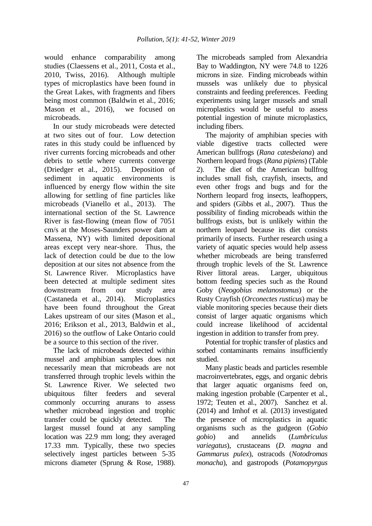would enhance comparability among studies (Claessens et al., 2011, Costa et al., 2010, Twiss, 2016). Although multiple types of microplastics have been found in the Great Lakes, with fragments and fibers being most common (Baldwin et al., 2016; Mason et al., 2016), we focused on microbeads.

In our study microbeads were detected at two sites out of four. Low detection rates in this study could be influenced by river currents forcing microbeads and other debris to settle where currents converge (Driedger et al., 2015). Deposition of sediment in aquatic environments is influenced by energy flow within the site allowing for settling of fine particles like microbeads (Vianello et al., 2013). The international section of the St. Lawrence River is fast-flowing (mean flow of 7051 cm/s at the Moses-Saunders power dam at Massena, NY) with limited depositional areas except very near-shore. Thus, the lack of detection could be due to the low deposition at our sites not absence from the St. Lawrence River. Microplastics have been detected at multiple sediment sites downstream from our study area (Castaneda et al., 2014). Microplastics have been found throughout the Great Lakes upstream of our sites (Mason et al., 2016; Erikson et al., 2013, Baldwin et al., 2016) so the outflow of Lake Ontario could be a source to this section of the river.

The lack of microbeads detected within mussel and amphibian samples does not necessarily mean that microbeads are not transferred through trophic levels within the St. Lawrence River. We selected two ubiquitous filter feeders and several commonly occurring anurans to assess whether microbead ingestion and trophic transfer could be quickly detected. The largest mussel found at any sampling location was 22.9 mm long; they averaged 17.33 mm. Typically, these two species selectively ingest particles between 5-35 microns diameter (Sprung & Rose, 1988). The microbeads sampled from Alexandria Bay to Waddington, NY were 74.8 to 1226 microns in size. Finding microbeads within mussels was unlikely due to physical constraints and feeding preferences. Feeding experiments using larger mussels and small microplastics would be useful to assess potential ingestion of minute microplastics, including fibers.

The majority of amphibian species with viable digestive tracts collected were American bullfrogs (*Rana catesbeiana*) and Northern leopard frogs (*Rana pipiens*) (Table 2). The diet of the American bullfrog includes small fish, crayfish, insects, and even other frogs and bugs and for the Northern leopard frog insects, leafhoppers, and spiders (Gibbs et al., 2007). Thus the possibility of finding microbeads within the bullfrogs exists, but is unlikely within the northern leopard because its diet consists primarily of insects. Further research using a variety of aquatic species would help assess whether microbeads are being transferred through trophic levels of the St. Lawrence River littoral areas. Larger, ubiquitous bottom feeding species such as the Round Goby (*Neogobius melanostomus*) or the Rusty Crayfish (*Orconectes rusticus*) may be viable monitoring species because their diets consist of larger aquatic organisms which could increase likelihood of accidental ingestion in addition to transfer from prey.

Potential for trophic transfer of plastics and sorbed contaminants remains insufficiently studied.

Many plastic beads and particles resemble macroinvertebrates, eggs, and organic debris that larger aquatic organisms feed on, making ingestion probable (Carpenter et al., 1972; Teuten et al., 2007). Sanchez et al. (2014) and Imhof et al. (2013) investigated the presence of microplastics in aquatic organisms such as the gudgeon (*Gobio gobio*) and annelids (*Lumbriculus variegatus*), crustaceans (*D. magna* and *Gammarus pulex*), ostracods (*Notodromas monacha*), and gastropods (*Potamopyrgus*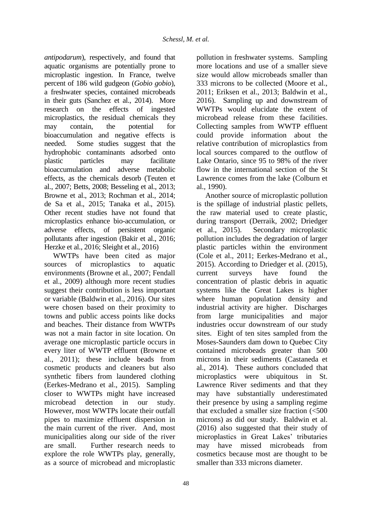*antipodarum*), respectively, and found that aquatic organisms are potentially prone to microplastic ingestion. In France, twelve percent of 186 wild gudgeon (*Gobio gobio*), a freshwater species, contained microbeads in their guts (Sanchez et al., 2014). More research on the effects of ingested microplastics, the residual chemicals they may contain, the potential for bioaccumulation and negative effects is needed. Some studies suggest that the hydrophobic contaminants adsorbed onto plastic particles may facilitate bioaccumulation and adverse metabolic effects, as the chemicals desorb (Teuten et al., 2007; Betts, 2008; Besseling et al., 2013; Browne et al., 2013; Rochman et al., 2014; de Sa et al., 2015; Tanaka et al., 2015). Other recent studies have not found that microplastics enhance bio-accumulation, or adverse effects, of persistent organic pollutants after ingestion (Bakir et al., 2016; Herzke et al., 2016; Sleight et al., 2016)

WWTPs have been cited as major sources of microplastics to aquatic environments (Browne et al., 2007; Fendall et al., 2009) although more recent studies suggest their contribution is less important or variable (Baldwin et al., 2016). Our sites were chosen based on their proximity to towns and public access points like docks and beaches. Their distance from WWTPs was not a main factor in site location. On average one microplastic particle occurs in every liter of WWTP effluent (Browne et al., 2011); these include beads from cosmetic products and cleaners but also synthetic fibers from laundered clothing (Eerkes-Medrano et al., 2015). Sampling closer to WWTPs might have increased microbead detection in our study. However, most WWTPs locate their outfall pipes to maximize effluent dispersion in the main current of the river. And, most municipalities along our side of the river are small. Further research needs to explore the role WWTPs play, generally, as a source of microbead and microplastic

pollution in freshwater systems. Sampling more locations and use of a smaller sieve size would allow microbeads smaller than 333 microns to be collected (Moore et al., 2011; Eriksen et al., 2013; Baldwin et al., 2016). Sampling up and downstream of WWTPs would elucidate the extent of microbead release from these facilities. Collecting samples from WWTP effluent could provide information about the relative contribution of microplastics from local sources compared to the outflow of Lake Ontario, since 95 to 98% of the river flow in the international section of the St Lawrence comes from the lake (Colburn et al., 1990).

Another source of microplastic pollution is the spillage of industrial plastic pellets, the raw material used to create plastic, during transport (Derraik, 2002; Driedger et al., 2015). Secondary microplastic pollution includes the degradation of larger plastic particles within the environment (Cole et al., 2011; Eerkes-Medrano et al., 2015). According to Driedger et al. (2015), current surveys have found the concentration of plastic debris in aquatic systems like the Great Lakes is higher where human population density and industrial activity are higher. Discharges from large municipalities and major industries occur downstream of our study sites. Eight of ten sites sampled from the Moses-Saunders dam down to Quebec City contained microbeads greater than 500 microns in their sediments (Castaneda et al., 2014). These authors concluded that microplastics were ubiquitous in St. Lawrence River sediments and that they may have substantially underestimated their presence by using a sampling regime that excluded a smaller size fraction  $\left( < 500 \right)$ microns) as did our study. Baldwin et al. (2016) also suggested that their study of microplastics in Great Lakes' tributaries may have missed microbeads from cosmetics because most are thought to be smaller than 333 microns diameter.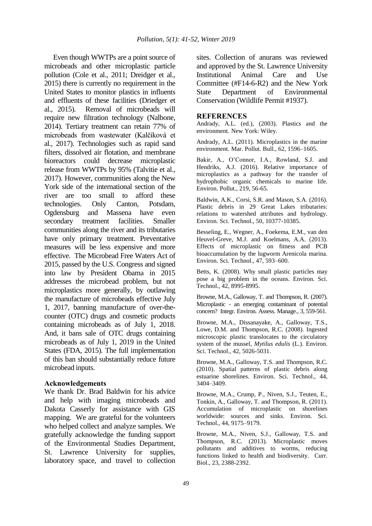Even though WWTPs are a point source of microbeads and other microplastic particle pollution (Cole et al., 2011; Dreidger et al., 2015) there is currently no requirement in the United States to monitor plastics in influents and effluents of these facilities (Driedger et al., 2015). Removal of microbeads will require new filtration technology (Nalbone, 2014). Tertiary treatment can retain 77% of microbeads from wastewater (Kalčíková et al., 2017). Technologies such as rapid sand filters, dissolved air flotation, and membrane bioreactors could decrease microplastic release from WWTPs by 95% (Talvitie et al., 2017). However, communities along the New York side of the international section of the river are too small to afford these technologies. Only Canton, Potsdam, Ogdensburg and Massena have even secondary treatment facilities. Smaller communities along the river and its tributaries have only primary treatment. Preventative measures will be less expensive and more effective. The Microbead Free Waters Act of 2015, passed by the U.S. Congress and signed into law by President Obama in 2015 addresses the microbead problem, but not microplastics more generally, by outlawing the manufacture of microbeads effective July 1, 2017, banning manufacture of over-thecounter (OTC) drugs and cosmetic products containing microbeads as of July 1, 2018. And, it bans sale of OTC drugs containing microbeads as of July 1, 2019 in the United States (FDA, 2015). The full implementation of this ban should substantially reduce future microbead inputs.

### **Acknowledgements**

We thank Dr. Brad Baldwin for his advice and help with imaging microbeads and Dakota Casserly for assistance with GIS mapping. We are grateful for the volunteers who helped collect and analyze samples. We gratefully acknowledge the funding support of the Environmental Studies Department, St. Lawrence University for supplies, laboratory space, and travel to collection

sites. Collection of anurans was reviewed and approved by the St. Lawrence University Institutional Animal Care and Use Committee (#F14-6-R2) and the New York State Department of Environmental Conservation (Wildlife Permit #1937).

### **REFERENCES**

Andrady, A.L. (ed.), (2003). Plastics and the environment. New York: Wiley.

Andrady, A.L. (2011). Microplastics in the marine environment. Mar. Pollut. Bull., 62, 1596–1605.

Bakir, A., O'Connor, I.A., Rowland, S.J. and Hendriks, A.J. (2016). Relative importance of microplastics as a pathway for the transfer of hydrophobic organic chemicals to marine life. Environ. Pollut., 219, 56-65.

Baldwin, A.K., Corsi, S.R. and Mason, S.A. (2016). Plastic debris in 29 Great Lakes tributaries: relations to watershed attributes and hydrology. Environ. Sci. Technol., 50, 10377-10385.

Besseling, E., Wegner, A., Foekema, E.M., van den Heuvel-Greve, M.J. and Koelmans, A.A. (2013). Effects of microplastic on fitness and PCB bioaccumulation by the lugworm Arenicola marina. Environ. Sci. Technol., 47, 593–600.

Betts, K. (2008). Why small plastic particles may pose a big problem in the oceans. Environ. Sci. Technol., 42, 8995-8995.

Browne, M.A., Galloway, T. and Thompson, R. (2007). Microplastic - an emerging contaminant of potential concern? Integr. Environ. Assess. Manage., 3, 559-561.

Browne, M.A., Dissanayake, A., Galloway, T.S., Lowe, D.M. and Thompson, R.C. (2008). Ingested microscopic plastic translocates to the circulatory system of the mussel, *Mytilus edulis* (L.). Environ. Sci. Technol., 42, 5026-5031.

Browne, M.A., Galloway, T.S. and Thompson, R.C. (2010). Spatial patterns of plastic debris along estuarine shorelines. Environ. Sci. Technol., 44, 3404–3409.

Browne, M.A., Crump, P., Niven, S.J., Teuten, E., Tonkin, A., Galloway, T. and Thompson, R. (2011). Accumulation of microplastic on shorelines worldwide: sources and sinks. Environ. Sci. Technol., 44, 9175–9179.

Browne, M.A., Niven, S.J., Galloway, T.S. and Thompson, R.C. (2013). Microplastic moves pollutants and additives to worms, reducing functions linked to health and biodiversity. Curr. Biol., 23, 2388-2392.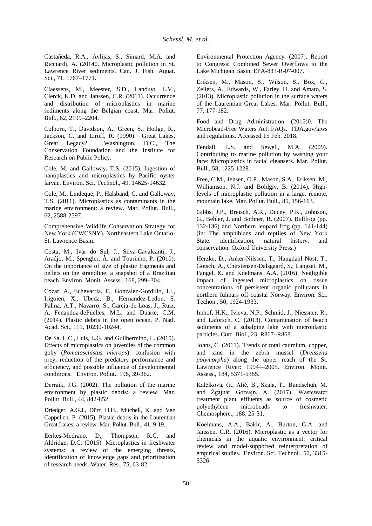Castañeda, R.A., Avlijas, S., Simard, M.A. and Ricciardi, A. (20140. Microplastic pollution in St. Lawrence River sediments. Can. J. Fish. Aquat. Sci., 71, 1767–1771.

Claessens, M., Meester, S.D., Landuyt, L.V., Clerck, K.D. and Janssen, C.R. (2011). Occurrence and distribution of microplastics in marine sediments along the Belgian coast. Mar. Pollut. Bull., 62, 2199–2204.

Colborn, T., Davidson, A., Green, S., Hodge, R., Jackson, C. and Liroff, R. (1990). Great Lakes, Great Legacy? Washington, D.C., The Conservation Foundation and the Institute for Research on Public Policy.

Cole, M. and Galloway, T.S. (2015). Ingestion of nanoplastics and microplastics by Pacific oyster larvae. Environ. Sci. Technol., 49, 14625-14632.

Cole, M., Lindeque, P., Halsband, C. and Galloway, T.S. (2011). Microplastics as contaminants in the marine environment: a review. Mar. Pollut. Bull., 62, 2588-2597.

Comprehensive Wildlife Conservation Strategy for New York (CWCSNY). Northeastern Lake Ontario-St. Lawrence Basin.

Costa, M., Ivar do Sul, J., Silva-Cavalcanti, J., Araújo, M., Spengler, Â. and Tourinho, P. (2010). On the importance of size of plastic fragments and pellets on the strandline: a snapshot of a Brazilian beach. Environ. Monit. Assess., 168, 299–304.

Cozar, A., Echevarria, F., Gonzalez-Gordillo, J.I., Irigoien, X., Ubeda, B., Hernandez-Ledon, S. Palma, A.T., Navarro, S., Garcia-de-Loas, J., Ruiz, A. Fenandez-dePuelles, M.L. and Duarte, C.M. (2014). Plastic debris in the open ocean. P. Natl. Acad. Sci., 111, 10239-10244.

De Sa. L.C., Luis, L.G. and Guilhermino, L. (2015). Effects of microplastics on juveniles of the common goby (*Pomatoschistus microps*): confusion with prey, reduction of the predatory performance and efficiency, and possible influence of developmental conditions. Environ. Pollut., 196, 39-362.

Derraik, J.G. (2002). The pollution of the marine environment by plastic debris: a review. Mar. Pollut. Bull., 44, 842-852.

Driedger, A.G.J., Dürr, H.H., Mitchell, K. and Van Cappellen, P. (2015). Plastic debris in the Laurentian Great Lakes: a review. Mar. Pollut. Bull., 41, 9-19.

Eerkes-Medrano, D., Thompson, R.C. and Aldridge, D.C. (2015). Microplastics in freshwater systems: a review of the emerging threats, identification of knowledge gaps and prioritization of research needs. Water. Res., 75, 63-82.

Environmental Protection Agency. (2007). Report to Congress: Combined Sewer Overflows to the Lake Michigan Basin, EPA-833-R-07-007.

Eriksen, M., Mason, S., Wilson, S., Box, C., Zellers, A., Edwards, W., Farley, H. and Amato, S. (2013). Microplastic pollution in the surface waters of the Laurentian Great Lakes. Mar. Pollut. Bull., 77, 177-182.

Food and Drug Administration. (2015)0. The Microbead-Free Waters Act: FAQs. FDA.gov/laws and regulations. Accessed 15 Feb. 2018.

Fendall, L.S. and Sewell, M.A. (2009). Contributing to marine pollution by washing your face: Microplastics in facial cleansers. Mar. Pollut. Bull., 58, 1225-1228.

Free, C.M., Jensen, O.P., Mason, S.A., Eriksen, M., Williamson, N.J. and Boldgiv, B. (2014). Highlevels of microplastic pollution in a large, remote, mountain lake. Mar. Pollut. Bull., 85, 156-163.

Gibbs, J.P., Breisch, A.R., Ducey, P.K., Johnson, G., Behler, J. and Bothner, R. (2007). Bullfrog (pp. 132-136) and Northern leopard frog (pp. 141-144) (in: The amphibians and reptiles of New York State: identification, natural history, and conservation. Oxford University Press.)

Herzke, D., Anker-Nilssen, T., Haugdahl Nost, T., Gotsch, A., Chirstensen-Dalsgaard, S., Langset, M., Fangel, K. and Koelmans, A.A. (2016). Negligible impact of ingested microplastics on tissue concentrations of persistent organic pollutants in northern fulmars off coastal Norway. Environ. Sci. Techon., 50, 1924-1933.

Imhof, H.K., Ivleva, N.P., Schmid, J., Niessner, R., and Laforsch, C. (2013). Contamination of beach sediments of a subalpine lake with microplastic particles. Curr. Biol., 23, R867–R868.

Johns, C. (2011). Trends of total cadmium, copper, and zinc in the zebra mussel (*Dreissena polymorpha*) along the upper reach of the St. Lawrence River: 1994—2005. Environ. Monit. Assess., 184, 5371-5385.

Kalčíková, G., Alič, B., Skala, T., Bundschuh, M. and Žgajnar Gotvajn, A. (2017). Wastewater treatment plant effluents as source of cosmetic polyethylene microbeads to freshwater. Chemosphere., 188, 25-31.

Koelmans, A.A., Bakir, A., Burton, G.A. and Janssen, C.R. (2016). Microplastic as a vector for chemicals in the aquatic environment: critical review and model-supported reinterpretation of empirical studies. Environ. Sci. Technol., 50, 3315- 3326.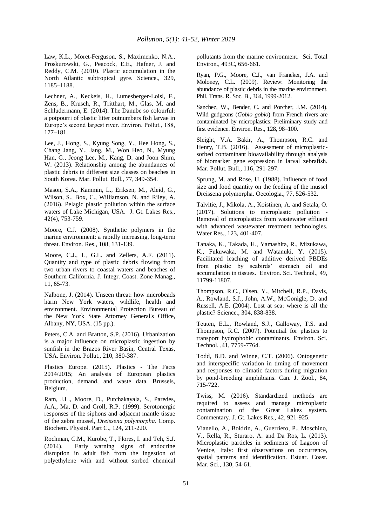Law, K.L., Moret-Ferguson, S., Maximenko, N.A., Proskurowski, G., Peacock, E.E., Hafner, J. and Reddy, C.M. (2010). Plastic accumulation in the North Atlantic subtropical gyre. Science., 329, 1185–1188.

Lechner, A., Keckeis, H., Lumesberger-Loisl, F., Zens, B., Krusch, R., Tritthart, M., Glas, M. and Schludermann, E. (2014). The Danube so colourful: a potpourri of plastic litter outnumbers fish larvae in Europe's second largest river. Environ. Pollut., 188, 177–181.

Lee, J., Hong, S., Kyung Song, Y., Hee Hong, S., Chang Jang, Y., Jang, M., Won Heo, N., Myung Han, G., Jeong Lee, M., Kang, D. and Joon Shim, W. (2013). Relationship among the abundances of plastic debris in different size classes on beaches in South Korea. Mar. Pollut. Bull., 77, 349-354.

Mason, S.A., Kammin, L., Eriksen, M., Aleid, G., Wilson, S., Box, C., Williamson, N. and Riley, A. (2016). Pelagic plastic pollution within the surface waters of Lake Michigan, USA. J. Gt. Lakes Res., 42(4), 753-759.

Moore, C.J. (2008). Synthetic polymers in the marine environment: a rapidly increasing, long-term threat. Environ. Res., 108, 131-139.

Moore, C.J., L, G.L. and Zellers, A.F. (2011). Quantity and type of plastic debris flowing from two urban rivers to coastal waters and beaches of Southern California. J. Integr. Coast. Zone Manag., 11, 65-73.

Nalbone, J. (2014). Unseen threat: how microbeads harm New York waters, wildlife, health and environment. Environmental Protection Bureau of the New York State Attorney General's Office, Albany, NY, USA. (15 pp.).

Peters, C.A. and Bratton, S.P. (2016). Urbanization is a major influence on microplastic ingestion by sunfish in the Brazos River Basin, Central Texas, USA. Environ. Pollut., 210, 380-387.

Plastics Europe. (2015). Plastics - The Facts 2014/2015; An analysis of European plastics production, demand, and waste data. Brussels, Belgium.

Ram, J.L., Moore, D., Putchakayala, S., Paredes, A.A., Ma, D. and Croll, R.P. (1999). Serotonergic responses of the siphons and adjacent mantle tissue of the zebra mussel, *Dreissena polymorpha*. Comp. Biochem. Physiol. Part C., 124, 211-220.

Rochman, C.M., Kurobe, T., Flores, I. and Teh, S.J. (2014). Early warning signs of endocrine disruption in adult fish from the ingestion of polyethylene with and without sorbed chemical pollutants from the marine environment. Sci. Total Environ., 493C, 656-661.

Ryan, P.G., Moore, C.J., van Franeker, J.A. and Moloney, C.L. (2009). Review: Monitoring the abundance of plastic debris in the marine environment. Phil. Trans. R. Soc. B., 364, 1999-2012.

Sanchez, W., Bender, C. and Porcher, J.M. (2014). Wild gudgeons (*Gobio gobio*) from French rivers are contaminated by microplastics: Preliminary study and first evidence. Environ. Res., 128, 98–100.

Sleight, V.A. Bakir, A., Thompson, R.C. and Henry, T.B. (2016). Assessment of microplasticsorbed contaminant bioavailability through analysis of biomarker gene expression in larval zebrafish. Mar. Pollut. Bull., 116, 291-297.

Sprung, M. and Rose, U. (1988). Influence of food size and food quantity on the feeding of the mussel Dreissena polymorpha. Oecologia., 77, 526-532.

Talvitie, J., Mikola, A., Koistinen, A. and Setala, O. (2017). Solutions to microplastic pollution - Removal of microplastics from wastewater effluent with advanced wastewater treatment technologies. Water Res., 123, 401-407.

Tanaka, K., Takada, H., Yamashita, R., Mizukawa, K., Fukuwaka, M. and Watanuki, Y. (2015). Facilitated leaching of additive derived PBDEs from plastic by seabirds' stomach oil and accumulation in tissues. Environ. Sci. Technol., 49, 11799-11807.

Thompson, R.C., Olsen, Y., Mitchell, R.P., Davis, A., Rowland, S.J., John, A.W., McGonigle, D. and Russell, A.E. (2004). Lost at sea: where is all the plastic? Science., 304, 838-838.

Teuten, E.L., Rowland, S.J., Galloway, T.S. and Thompson, R.C. (2007). Potential for plastics to transport hydrophobic contaminants. Environ. Sci. Technol. ,41, 7759-7764.

Todd, B.D. and Winne, C.T. (2006). Ontogenetic and interspecific variation in timing of movement and responses to climatic factors during migration by pond-breeding amphibians. Can. J. Zool., 84, 715-722.

Twiss, M. (2016). Standardized methods are required to assess and manage microplastic contamination of the Great Lakes system. Commentary. J. Gt. Lakes Res., 42, 921-925.

Vianello, A., Boldrin, A., Guerriero, P., Moschino, V., Rella, R., Sturaro, A. and Da Ros, L. (2013). Microplastic particles in sediments of Lagoon of Venice, Italy: first observations on occurrence, spatial patterns and identification. Estuar. Coast. Mar. Sci., 130, 54-61.